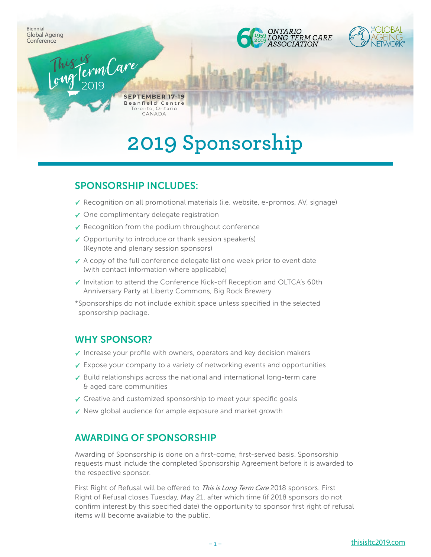

# **2019 Sponsorship**

#### SPONSORSHIP INCLUDES:

- **✓** Recognition on all promotional materials (i.e. website, e-promos, AV, signage)
- **✓** One complimentary delegate registration
- **✓** Recognition from the podium throughout conference
- **✓** Opportunity to introduce or thank session speaker(s) (Keynote and plenary session sponsors)
- **✓** A copy of the full conference delegate list one week prior to event date (with contact information where applicable)
- **✓** Invitation to attend the Conference Kick-off Reception and OLTCA's 60th Anniversary Party at Liberty Commons, Big Rock Brewery
- \*Sponsorships do not include exhibit space unless specified in the selected sponsorship package.

#### WHY SPONSOR?

- **✓** Increase your profile with owners, operators and key decision makers
- **✓** Expose your company to a variety of networking events and opportunities
- **✓** Build relationships across the national and international long-term care & aged care communities
- **✓** Creative and customized sponsorship to meet your specific goals
- **✓** New global audience for ample exposure and market growth

#### AWARDING OF SPONSORSHIP

Awarding of Sponsorship is done on a first-come, first-served basis. Sponsorship requests must include the completed Sponsorship Agreement before it is awarded to the respective sponsor.

First Right of Refusal will be offered to *This is Long Term Care* 2018 sponsors. First Right of Refusal closes Tuesday, May 21, after which time (if 2018 sponsors do not confirm interest by this specified date) the opportunity to sponsor first right of refusal items will become available to the public.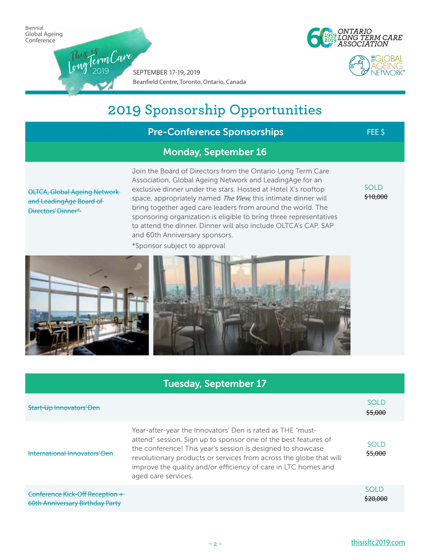2019

SEPTEMBER 17-19, 2019 Beanfield Centre, Toronto, Ontario, Canada This is <sup>L</sup>o<sup>n</sup>gTer<sup>m</sup>Car<sup>e</sup>





| <b>Pre-Conference Sponsorships</b>                                                    |                                                                                                                                                                                                                                                                                                                                                                                                                                                                                                                                      | FEE \$                  |
|---------------------------------------------------------------------------------------|--------------------------------------------------------------------------------------------------------------------------------------------------------------------------------------------------------------------------------------------------------------------------------------------------------------------------------------------------------------------------------------------------------------------------------------------------------------------------------------------------------------------------------------|-------------------------|
|                                                                                       | <b>Monday, September 16</b>                                                                                                                                                                                                                                                                                                                                                                                                                                                                                                          |                         |
| <b>OLTCA, Global Ageing Network</b><br>and LeadingAge Board of<br>Directors' Dinner*- | Join the Board of Directors from the Ontario Long Term Care<br>Association, Global Ageing Network and LeadingAge for an<br>exclusive dinner under the stars. Hosted at Hotel X's rooftop<br>space, appropriately named The View, this intimate dinner will<br>bring together aged care leaders from around the world. The<br>sponsoring organization is eligible to bring three representatives<br>to attend the dinner. Dinner will also include OLTCA's CAP, SAP<br>and 60th Anniversary sponsors.<br>*Sponsor subject to approval | <b>SOLD</b><br>\$10,000 |
|                                                                                       |                                                                                                                                                                                                                                                                                                                                                                                                                                                                                                                                      |                         |
|                                                                                       | <b>Tuesday, September 17</b>                                                                                                                                                                                                                                                                                                                                                                                                                                                                                                         |                         |
|                                                                                       |                                                                                                                                                                                                                                                                                                                                                                                                                                                                                                                                      |                         |

| Start-Up Innovators' Den                                           |                                                                                                                                                                                                                                                                                                                                                             | <b>SOLD</b><br>\$5,000  |
|--------------------------------------------------------------------|-------------------------------------------------------------------------------------------------------------------------------------------------------------------------------------------------------------------------------------------------------------------------------------------------------------------------------------------------------------|-------------------------|
| International Innovators' Den                                      | Year-after-year the Innovators' Den is rated as THE "must-<br>attend" session. Sign up to sponsor one of the best features of<br>the conference! This year's session is designed to showcase<br>revolutionary products or services from across the globe that will<br>improve the quality and/or efficiency of care in LTC homes and<br>aged care services. | <b>SOLD</b><br>\$5,000  |
| Conference Kick-Off Reception +<br>60th Anniversary Birthday Party |                                                                                                                                                                                                                                                                                                                                                             | <b>SOLD</b><br>\$20.000 |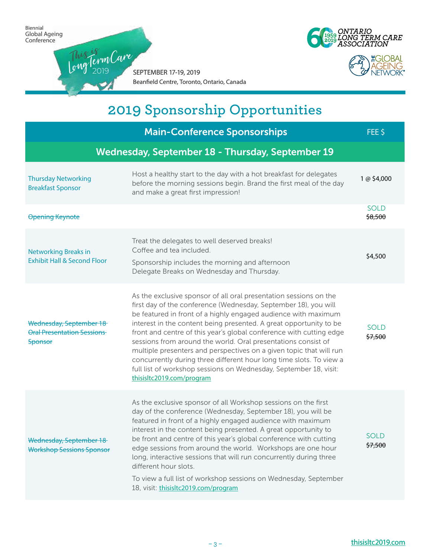2019





SEPTEMBER 17-19, 2019 Beanfield Centre, Toronto, Ontario, Canada This is <sup>L</sup>o<sup>n</sup>gTer<sup>m</sup>Car<sup>e</sup>

|                                                                                | <b>Main-Conference Sponsorships</b>                                                                                                                                                                                                                                                                                                                                                                                                                                                                                                                                                                                                                                  | FEE \$                 |
|--------------------------------------------------------------------------------|----------------------------------------------------------------------------------------------------------------------------------------------------------------------------------------------------------------------------------------------------------------------------------------------------------------------------------------------------------------------------------------------------------------------------------------------------------------------------------------------------------------------------------------------------------------------------------------------------------------------------------------------------------------------|------------------------|
|                                                                                | Wednesday, September 18 - Thursday, September 19                                                                                                                                                                                                                                                                                                                                                                                                                                                                                                                                                                                                                     |                        |
| <b>Thursday Networking</b><br><b>Breakfast Sponsor</b>                         | Host a healthy start to the day with a hot breakfast for delegates<br>before the morning sessions begin. Brand the first meal of the day<br>and make a great first impression!                                                                                                                                                                                                                                                                                                                                                                                                                                                                                       | 1 @ \$4,000            |
| <b>Opening Keynote</b>                                                         |                                                                                                                                                                                                                                                                                                                                                                                                                                                                                                                                                                                                                                                                      | <b>SOLD</b><br>\$8,500 |
| <b>Networking Breaks in</b><br><b>Exhibit Hall &amp; Second Floor</b>          | Treat the delegates to well deserved breaks!<br>Coffee and tea included.<br>Sponsorship includes the morning and afternoon<br>Delegate Breaks on Wednesday and Thursday.                                                                                                                                                                                                                                                                                                                                                                                                                                                                                             | \$4,500                |
| Wednesday, September 18<br><b>Oral Presentation Sessions</b><br><b>Sponsor</b> | As the exclusive sponsor of all oral presentation sessions on the<br>first day of the conference (Wednesday, September 18), you will<br>be featured in front of a highly engaged audience with maximum<br>interest in the content being presented. A great opportunity to be<br>front and centre of this year's global conference with cutting edge<br>sessions from around the world. Oral presentations consist of<br>multiple presenters and perspectives on a given topic that will run<br>concurrently during three different hour long time slots. To view a<br>full list of workshop sessions on Wednesday, September 18, visit:<br>thisisltc2019.com/program | <b>SOLD</b><br>\$7,500 |
| Wednesday, September 18<br><b>Workshop Sessions Sponsor</b>                    | As the exclusive sponsor of all Workshop sessions on the first<br>day of the conference (Wednesday, September 18), you will be<br>featured in front of a highly engaged audience with maximum<br>interest in the content being presented. A great opportunity to<br>be front and centre of this year's global conference with cutting<br>edge sessions from around the world. Workshops are one hour<br>long, interactive sessions that will run concurrently during three<br>different hour slots.<br>To view a full list of workshop sessions on Wednesday, September<br>18, visit: thisisltc2019.com/program                                                      | <b>SOLD</b><br>\$7,500 |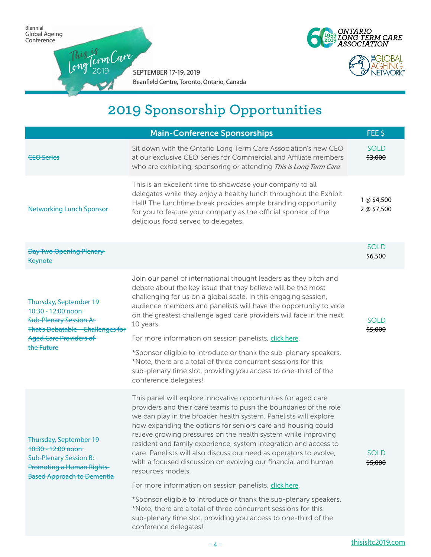2019





SEPTEMBER 17-19, 2019 Beanfield Centre, Toronto, Ontario, Canada This is <sup>L</sup>o<sup>n</sup>gTer<sup>m</sup>Car<sup>e</sup>

|                                                                                                                                                                                   | <b>Main-Conference Sponsorships</b>                                                                                                                                                                                                                                                                                                                                                                                                                                                                                                                                                                                                                                                                                                                                                                                                                                    | FEE \$                     |
|-----------------------------------------------------------------------------------------------------------------------------------------------------------------------------------|------------------------------------------------------------------------------------------------------------------------------------------------------------------------------------------------------------------------------------------------------------------------------------------------------------------------------------------------------------------------------------------------------------------------------------------------------------------------------------------------------------------------------------------------------------------------------------------------------------------------------------------------------------------------------------------------------------------------------------------------------------------------------------------------------------------------------------------------------------------------|----------------------------|
| <b>CEO Series</b>                                                                                                                                                                 | Sit down with the Ontario Long Term Care Association's new CEO<br>at our exclusive CEO Series for Commercial and Affiliate members<br>who are exhibiting, sponsoring or attending This is Long Term Care.                                                                                                                                                                                                                                                                                                                                                                                                                                                                                                                                                                                                                                                              | <b>SOLD</b><br>\$3,000     |
| <b>Networking Lunch Sponsor</b>                                                                                                                                                   | This is an excellent time to showcase your company to all<br>delegates while they enjoy a healthy lunch throughout the Exhibit<br>Hall! The lunchtime break provides ample branding opportunity<br>for you to feature your company as the official sponsor of the<br>delicious food served to delegates.                                                                                                                                                                                                                                                                                                                                                                                                                                                                                                                                                               | 1 @ \$4,500<br>2 @ \$7,500 |
| <b>Day Two Opening Plenary</b><br><b>Keynote</b>                                                                                                                                  |                                                                                                                                                                                                                                                                                                                                                                                                                                                                                                                                                                                                                                                                                                                                                                                                                                                                        |                            |
| <b>Thursday, September 19</b><br>$10:30 - 12:00$ noon<br><b>Sub-Plenary Session A:</b><br><b>That's Debatable - Challenges for</b><br><b>Aged Care Providers of</b><br>the Future | Join our panel of international thought leaders as they pitch and<br>debate about the key issue that they believe will be the most<br>challenging for us on a global scale. In this engaging session,<br>audience members and panelists will have the opportunity to vote<br>on the greatest challenge aged care providers will face in the next<br>10 years.<br>For more information on session panelists, click here.<br>*Sponsor eligible to introduce or thank the sub-plenary speakers.<br>*Note, there are a total of three concurrent sessions for this<br>sub-plenary time slot, providing you access to one-third of the<br>conference delegates!                                                                                                                                                                                                             | <b>SOLD</b><br>\$5,000     |
| <b>Thursday, September 19</b><br>$+0.30 - 12.00$ noon<br><b>Sub-Plenary Session B:</b><br><b>Promoting a Human Rights-</b><br><b>Based Approach to Dementia</b>                   | This panel will explore innovative opportunities for aged care<br>providers and their care teams to push the boundaries of the role<br>we can play in the broader health system. Panelists will explore<br>how expanding the options for seniors care and housing could<br>relieve growing pressures on the health system while improving<br>resident and family experience, system integration and access to<br>care. Panelists will also discuss our need as operators to evolve,<br>with a focused discussion on evolving our financial and human<br>resources models.<br>For more information on session panelists, click here.<br>*Sponsor eligible to introduce or thank the sub-plenary speakers.<br>*Note, there are a total of three concurrent sessions for this<br>sub-plenary time slot, providing you access to one-third of the<br>conference delegates! | <b>SOLD</b><br>\$5,000     |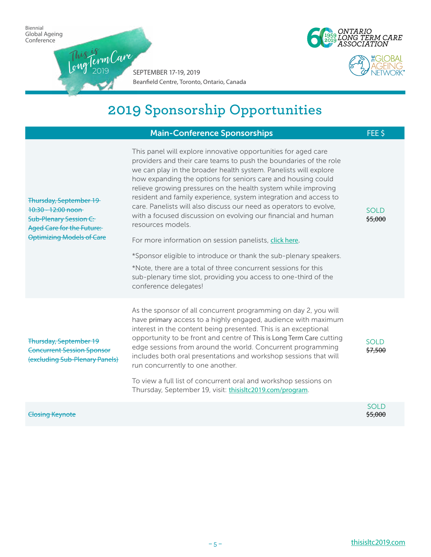2019





SEPTEMBER 17-19, 2019 Beanfield Centre, Toronto, Ontario, Canada This is <sup>L</sup>o<sup>n</sup>gTer<sup>m</sup>Car<sup>e</sup>

|                                                                                                                                                         | <b>Main-Conference Sponsorships</b>                                                                                                                                                                                                                                                                                                                                                                                                                                                                                                                                                                                                                                                                                                                                                                                                                                    | FEE \$                 |
|---------------------------------------------------------------------------------------------------------------------------------------------------------|------------------------------------------------------------------------------------------------------------------------------------------------------------------------------------------------------------------------------------------------------------------------------------------------------------------------------------------------------------------------------------------------------------------------------------------------------------------------------------------------------------------------------------------------------------------------------------------------------------------------------------------------------------------------------------------------------------------------------------------------------------------------------------------------------------------------------------------------------------------------|------------------------|
| <b>Thursday, September 19</b><br>$10:30 - 12:00$ noon<br><b>Sub-Plenary Session C:</b><br>Aged Care for the Future:<br><b>Optimizing Models of Care</b> | This panel will explore innovative opportunities for aged care<br>providers and their care teams to push the boundaries of the role<br>we can play in the broader health system. Panelists will explore<br>how expanding the options for seniors care and housing could<br>relieve growing pressures on the health system while improving<br>resident and family experience, system integration and access to<br>care. Panelists will also discuss our need as operators to evolve,<br>with a focused discussion on evolving our financial and human<br>resources models.<br>For more information on session panelists, click here.<br>*Sponsor eligible to introduce or thank the sub-plenary speakers.<br>*Note, there are a total of three concurrent sessions for this<br>sub-plenary time slot, providing you access to one-third of the<br>conference delegates! | <b>SOLD</b><br>\$5,000 |
| <b>Thursday, September 19</b><br><b>Concurrent Session Sponsor</b><br>(excluding Sub-Plenary Panels)                                                    | As the sponsor of all concurrent programming on day 2, you will<br>have primary access to a highly engaged, audience with maximum<br>interest in the content being presented. This is an exceptional<br>opportunity to be front and centre of This is Long Term Care cutting<br>edge sessions from around the world. Concurrent programming<br>includes both oral presentations and workshop sessions that will<br>run concurrently to one another.<br>To view a full list of concurrent oral and workshop sessions on<br>Thursday, September 19, visit: thisisltc2019.com/program.                                                                                                                                                                                                                                                                                    | <b>SOLD</b><br>\$7,500 |
| <b>Closing Keynote</b>                                                                                                                                  |                                                                                                                                                                                                                                                                                                                                                                                                                                                                                                                                                                                                                                                                                                                                                                                                                                                                        | <b>SOLD</b><br>\$5,000 |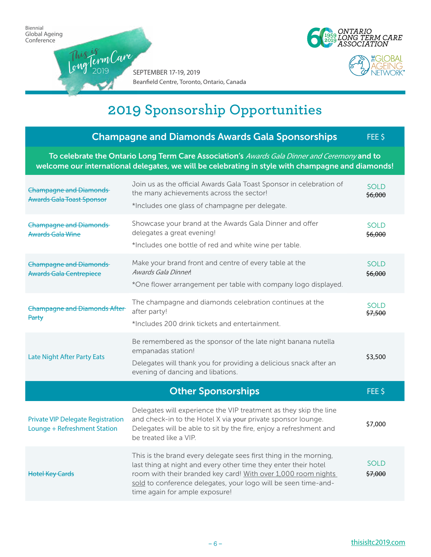





|                                                                                                                                                                                                   | <b>Champagne and Diamonds Awards Gala Sponsorships</b>                                                                                                                                                                                                                                                    | FEE <sub>\$</sub>      |
|---------------------------------------------------------------------------------------------------------------------------------------------------------------------------------------------------|-----------------------------------------------------------------------------------------------------------------------------------------------------------------------------------------------------------------------------------------------------------------------------------------------------------|------------------------|
| To celebrate the Ontario Long Term Care Association's Awards Gala Dinner and Ceremony and to<br>welcome our international delegates, we will be celebrating in style with champagne and diamonds! |                                                                                                                                                                                                                                                                                                           |                        |
| <b>Champagne and Diamonds</b><br><b>Awards Gala Toast Sponsor</b>                                                                                                                                 | Join us as the official Awards Gala Toast Sponsor in celebration of<br>the many achievements across the sector!<br>*Includes one glass of champagne per delegate.                                                                                                                                         | <b>SOLD</b><br>\$6,000 |
| <b>Champagne and Diamonds</b><br><b>Awards Gala Wine</b>                                                                                                                                          | Showcase your brand at the Awards Gala Dinner and offer<br>delegates a great evening!<br>*Includes one bottle of red and white wine per table.                                                                                                                                                            | <b>SOLD</b><br>\$6,000 |
| <b>Champagne and Diamonds</b><br><b>Awards Gala Centrepiece</b>                                                                                                                                   | Make your brand front and centre of every table at the<br>Awards Gala Dinner!<br>*One flower arrangement per table with company logo displayed.                                                                                                                                                           | <b>SOLD</b><br>\$6,000 |
| <b>Champagne and Diamonds After</b><br>Party                                                                                                                                                      | The champagne and diamonds celebration continues at the<br>after party!<br>*Includes 200 drink tickets and entertainment.                                                                                                                                                                                 | <b>SOLD</b><br>\$7,500 |
| <b>Late Night After Party Eats</b>                                                                                                                                                                | Be remembered as the sponsor of the late night banana nutella<br>empanadas station!<br>Delegates will thank you for providing a delicious snack after an<br>evening of dancing and libations.                                                                                                             | \$3,500                |
|                                                                                                                                                                                                   | <b>Other Sponsorships</b>                                                                                                                                                                                                                                                                                 | FEE \$                 |
| <b>Private VIP Delegate Registration</b><br>Lounge + Refreshment Station                                                                                                                          | Delegates will experience the VIP treatment as they skip the line<br>and check-in to the Hotel X via your private sponsor lounge.<br>Delegates will be able to sit by the fire, enjoy a refreshment and<br>be treated like a VIP.                                                                         | \$7,000                |
| <b>Hotel Key Cards</b>                                                                                                                                                                            | This is the brand every delegate sees first thing in the morning,<br>last thing at night and every other time they enter their hotel<br>room with their branded key card! With over 1,000 room nights<br>sold to conference delegates, your logo will be seen time-and-<br>time again for ample exposure! | <b>SOLD</b><br>\$7,000 |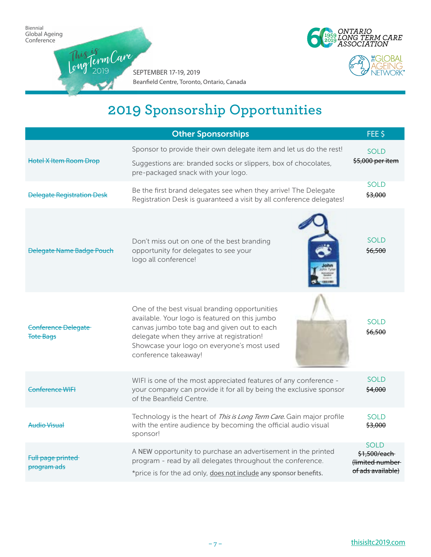2019





SEPTEMBER 17-19, 2019 Beanfield Centre, Toronto, Ontario, Canada This is <sup>L</sup>o<sup>n</sup>gTer<sup>m</sup>Car<sup>e</sup>

|                                                                                                                                                                                                                                      | <b>Other Sponsorships</b>                                                                                                                                                                                                                                          | FEE \$                                                              |
|--------------------------------------------------------------------------------------------------------------------------------------------------------------------------------------------------------------------------------------|--------------------------------------------------------------------------------------------------------------------------------------------------------------------------------------------------------------------------------------------------------------------|---------------------------------------------------------------------|
| <b>Hotel X Item Room Drop</b>                                                                                                                                                                                                        | Sponsor to provide their own delegate item and let us do the rest!<br>Suggestions are: branded socks or slippers, box of chocolates,<br>pre-packaged snack with your logo.                                                                                         | <b>SOLD</b><br>\$5,000 per item                                     |
| <b>Delegate Registration Desk</b>                                                                                                                                                                                                    | Be the first brand delegates see when they arrive! The Delegate<br>Registration Desk is guaranteed a visit by all conference delegates!                                                                                                                            | <b>SOLD</b><br>\$3,000                                              |
| <b>Delegate Name Badge Pouch</b>                                                                                                                                                                                                     | Don't miss out on one of the best branding<br>opportunity for delegates to see your<br>logo all conference!                                                                                                                                                        | <b>SOLD</b><br>\$6,500                                              |
| Conference Delegate<br><b>Tote Bags</b>                                                                                                                                                                                              | One of the best visual branding opportunities<br>available. Your logo is featured on this jumbo<br>canvas jumbo tote bag and given out to each<br>delegate when they arrive at registration!<br>Showcase your logo on everyone's most used<br>conference takeaway! | <b>SOLD</b><br>\$6,500                                              |
| Conference WIFI                                                                                                                                                                                                                      | WIFI is one of the most appreciated features of any conference -<br>your company can provide it for all by being the exclusive sponsor<br>of the Beanfield Centre.                                                                                                 |                                                                     |
| <b>Audio Visual</b>                                                                                                                                                                                                                  | Technology is the heart of This is Long Term Care. Gain major profile<br>with the entire audience by becoming the official audio visual<br>sponsor!                                                                                                                | SOLD.<br>\$3,000                                                    |
| A NEW opportunity to purchase an advertisement in the printed<br>Full page printed<br>program - read by all delegates throughout the conference.<br>program ads<br>*price is for the ad only, does not include any sponsor benefits. |                                                                                                                                                                                                                                                                    | <b>SOLD</b><br>\$1,500/each<br>flimited number<br>of ads available) |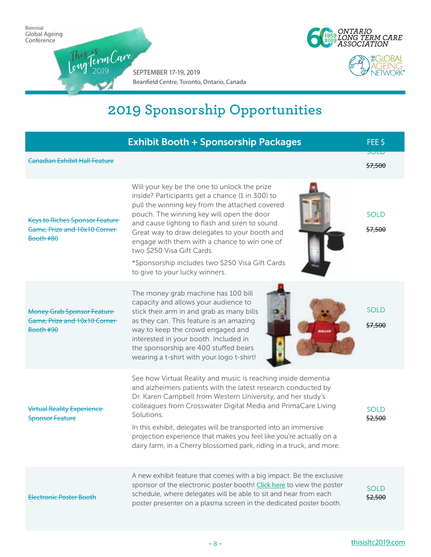

|                                                                                    | <b>Exhibit Booth + Sponsorship Packages</b>                                                                                                                                                                                                                                                                                                                                                                                                                                                     | FEE \$                 |
|------------------------------------------------------------------------------------|-------------------------------------------------------------------------------------------------------------------------------------------------------------------------------------------------------------------------------------------------------------------------------------------------------------------------------------------------------------------------------------------------------------------------------------------------------------------------------------------------|------------------------|
| <b>Canadian Exhibit Hall Feature</b>                                               |                                                                                                                                                                                                                                                                                                                                                                                                                                                                                                 | <b>JULU</b><br>\$7,500 |
| <b>Keys to Riches Sponsor Feature</b><br>Game, Prize and 10x10 Corner<br>Booth #80 | Will your key be the one to unlock the prize<br>inside? Participants get a chance (1 in 300) to<br>pull the winning key from the attached covered<br>pouch. The winning key will open the door<br>and cause lighting to flash and siren to sound.<br>Great way to draw delegates to your booth and<br>engage with them with a chance to win one of<br>two \$250 Visa Gift Cards.<br>*Sponsorship includes two \$250 Visa Gift Cards<br>to give to your lucky winners.                           | <b>SOLD</b><br>\$7,500 |
| <b>Money Grab Sponsor Feature</b><br>Game, Prize and 10x10 Corner<br>Booth #90     | The money grab machine has 100 bill<br>capacity and allows your audience to<br>stick their arm in and grab as many bills<br>as they can. This feature is an amazing<br>way to keep the crowd engaged and<br>interested in your booth. Included in<br>the sponsorship are 400 stuffed bears<br>wearing a t-shirt with your logo t-shirt!                                                                                                                                                         | <b>SOLD</b><br>\$7,500 |
| <b>Virtual Reality Experience</b><br><b>Sponsor Feature</b>                        | See how Virtual Reality and music is reaching inside dementia<br>and alzheimers patients with the latest research conducted by<br>Dr. Karen Campbell from Western University, and her study's<br>colleagues from Crosswater Digital Media and PrimaCare Living<br>Solutions.<br>In this exhibit, delegates will be transported into an immersive<br>projection experience that makes you feel like you're actually on a<br>dairy farm, in a Cherry blossomed park, riding in a truck, and more. | <b>SOLD</b><br>\$2,500 |
| <b>Electronic Poster Booth</b>                                                     | A new exhibit feature that comes with a big impact. Be the exclusive<br>sponsor of the electronic poster booth! Click here to view the poster<br>schedule, where delegates will be able to sit and hear from each<br>poster presenter on a plasma screen in the dedicated poster booth.                                                                                                                                                                                                         | <b>SOLD</b><br>\$2,500 |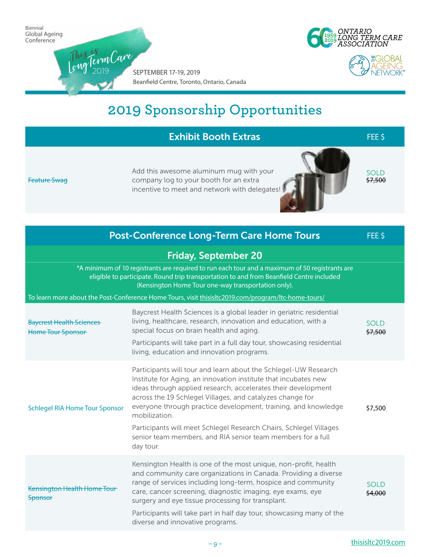

| <b>Exhibit Booth Extras</b>                                                                                                                                                                                                                       |                                                                                                                                                                                                                                                                                                                                                                                                                                                                                                       |                        |
|---------------------------------------------------------------------------------------------------------------------------------------------------------------------------------------------------------------------------------------------------|-------------------------------------------------------------------------------------------------------------------------------------------------------------------------------------------------------------------------------------------------------------------------------------------------------------------------------------------------------------------------------------------------------------------------------------------------------------------------------------------------------|------------------------|
| Feature Swag                                                                                                                                                                                                                                      | Add this awesome aluminum mug with your<br>company log to your booth for an extra<br>incentive to meet and network with delegates!                                                                                                                                                                                                                                                                                                                                                                    | <b>SOLD</b><br>\$7,500 |
|                                                                                                                                                                                                                                                   | <b>Post-Conference Long-Term Care Home Tours</b>                                                                                                                                                                                                                                                                                                                                                                                                                                                      | FEE \$                 |
|                                                                                                                                                                                                                                                   | <b>Friday, September 20</b>                                                                                                                                                                                                                                                                                                                                                                                                                                                                           |                        |
| *A minimum of 10 registrants are required to run each tour and a maximum of 50 registrants are<br>eligible to participate. Round trip transportation to and from Beanfield Centre included<br>(Kensington Home Tour one-way transportation only). |                                                                                                                                                                                                                                                                                                                                                                                                                                                                                                       |                        |
|                                                                                                                                                                                                                                                   | To learn more about the Post-Conference Home Tours, visit thisisltc2019.com/program/ltc-home-tours/                                                                                                                                                                                                                                                                                                                                                                                                   |                        |
| <b>Baycrest Health Sciences</b><br>Home Tour Sponsor                                                                                                                                                                                              | Baycrest Health Sciences is a global leader in geriatric residential<br>living, healthcare, research, innovation and education, with a<br>special focus on brain health and aging.<br>Participants will take part in a full day tour, showcasing residential<br>living, education and innovation programs.                                                                                                                                                                                            | <b>SOLD</b><br>\$7,500 |
| <b>Schlegel RIA Home Tour Sponsor</b>                                                                                                                                                                                                             | Participants will tour and learn about the Schlegel-UW Research<br>Institute for Aging, an innovation institute that incubates new<br>ideas through applied research, accelerates their development<br>across the 19 Schlegel Villages, and catalyzes change for<br>everyone through practice development, training, and knowledge<br>mobilization.<br>Participants will meet Schlegel Research Chairs, Schlegel Villages<br>senior team members, and RIA senior team members for a full<br>day tour. |                        |
| Kensington Health Home Tour<br><b>Sponsor</b>                                                                                                                                                                                                     | Kensington Health is one of the most unique, non-profit, health<br>and community care organizations in Canada. Providing a diverse<br>range of services including long-term, hospice and community<br>care, cancer screening, diagnostic imaging, eye exams, eye<br>surgery and eye tissue processing for transplant.<br>Participants will take part in half day tour, showcasing many of the<br>diverse and innovative programs.                                                                     | <b>SOLD</b><br>\$4,000 |
|                                                                                                                                                                                                                                                   |                                                                                                                                                                                                                                                                                                                                                                                                                                                                                                       |                        |